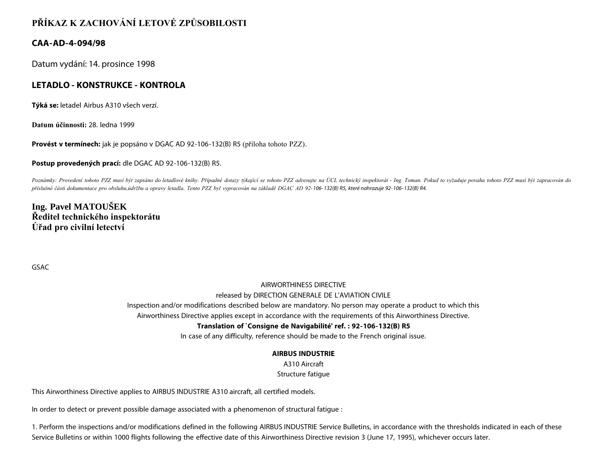# **PŘÍKAZ K ZACHOVÁNÍ LETOVÉ ZPŮSOBILOSTI**

### **CAA-AD-4-094/98**

Datum vydání: 14. prosince 1998

### **LETADLO - KONSTRUKCE - KONTROLA**

**Týká se:** letadel Airbus A310 všech verzí.

**Datum účinnosti:** 28. ledna 1999

**Provést v termínech:** jak je popsáno v DGAC AD 92-106-132(B) R5 (příloha tohoto PZZ).

#### **Postup provedených prací:** dle DGAC AD 92-106-132(B) R5.

Poznámky: Provedení tohoto PZZ musí být zapsáno do letadlové knihy. Případné dotazy týkající se tohoto PZZ adresujte na ÚCL technický inspektorát - Ing. Toman. Pokud to vyžaduje povaha tohoto PZZ musí být zapracován do *příslušné části dokumentace pro obsluhu,údržbu a opravy letadla. Tento PZZ byl vypracován na základě DGAC AD 92-106- 132(B) R5, které nahrazuje 92- 106- 132(B) R4.*

## **Ing. Pavel MATOUŠEK Ředitel technického inspektorátu Úřad pro civilní letectví**

GSAC

## AIRWORTHINESS DIRECTIVE

#### released by DIRECTION GENERALE DE L'AVIATION CIVILE

Inspection and/or modifications described below are mandatory. No person may operate a product to which this

Airworthiness Directive applies except in accordance with the requirements of this Airworthiness Directive.

### **Translation of `Consigne de Navigabilité' ref. : 92-106-132(B) R5**

In case of any difficulty, reference should be made to the French original issue.

### **AIRBUS INDUSTRIE**

A310 Aircraft

Structure fatigue

This Airworthiness Directive applies to AIRBUS INDUSTRIE A310 aircraft, all certified models.

In order to detect or prevent possible damage associated with a phenomenon of structural fatigue :

1. Perform the inspections and/or modifications defined in the following AIRBUS INDUSTRIE Service Bulletins, in accordance with the thresholds indicated in each of these Service Bulletins or within 1000 flights following the effective date of this Airworthiness Directive revision 3 (June 17, 1995), whichever occurs later.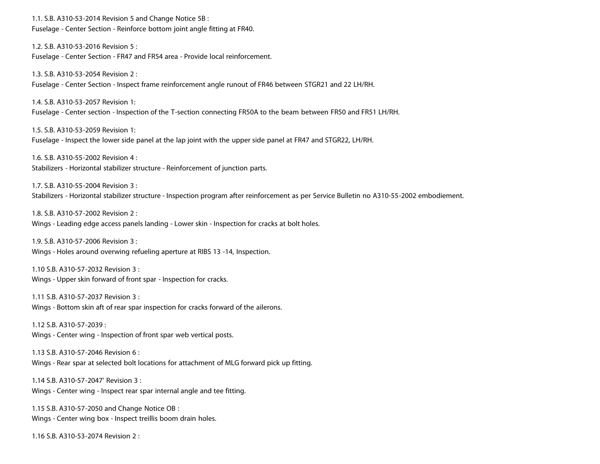1.1. S.B. A310-53-2014 Revision 5 and Change Notice 5B : Fuselage - Center Section - Reinforce bottom joint angle fitting at FR40.

1.2. S.B. A310-53-2016 Revision 5 : Fuselage - Center Section - FR47 and FR54 area - Provide local reinforcement.

1.3. S.B. A310-53-2054 Revision 2 : Fuselage - Center Section - Inspect frame reinforcement angle runout of FR46 between STGR21 and 22 LH/RH.

1.4. S.B. A310-53-2057 Revision 1: Fuselage - Center section - Inspection of the T-section connecting FR50A to the beam between FR50 and FR51 LH/RH.

1.5. S.B. A310-53-2059 Revision 1: Fuselage - Inspect the lower side panel at the lap joint with the upper side panel at FR47 and STGR22, LH/RH.

1.6. S.B. A310-55-2002 Revision 4 : Stabilizers - Horizontal stabilizer structure - Reinforcement of junction parts.

1.7. S.B. A310-55-2004 Revision 3 : Stabilizers - Horizontal stabilizer structure - Inspection program after reinforcement as per Service Bulletin no A310-55-2002 embodiement.

1.8. S.B. A310-57-2002 Revision 2 : Wings - Leading edge access panels landing - Lower skin - Inspection for cracks at bolt holes.

1.9. S.B. A310-57-2006 Revision 3 : Wings - Holes around overwing refueling aperture at RIBS 13 -14, Inspection.

1.10 S.B. A310-57-2032 Revision 3 : Wings - Upper skin forward of front spar - Inspection for cracks.

1.11 S.B. A310-57-2037 Revision 3 : Wings - Bottom skin aft of rear spar inspection for cracks forward of the ailerons.

1.12 S.B. A310-57-2039 : Wings - Center wing - Inspection of front spar web vertical posts.

1.13 S.B. A310-57-2046 Revision 6 : Wings - Rear spar at selected bolt locations for attachment of MLG forward pick up fitting.

1.14 S.B. A310-57-2047' Revision 3 : Wings - Center wing - Inspect rear spar internal angle and tee fitting.

1.15 S.B. A310-57-2050 and Change Notice OB : Wings - Center wing box - Inspect treillis boom drain holes.

1.16 S.B. A310-53-2074 Revision 2 :